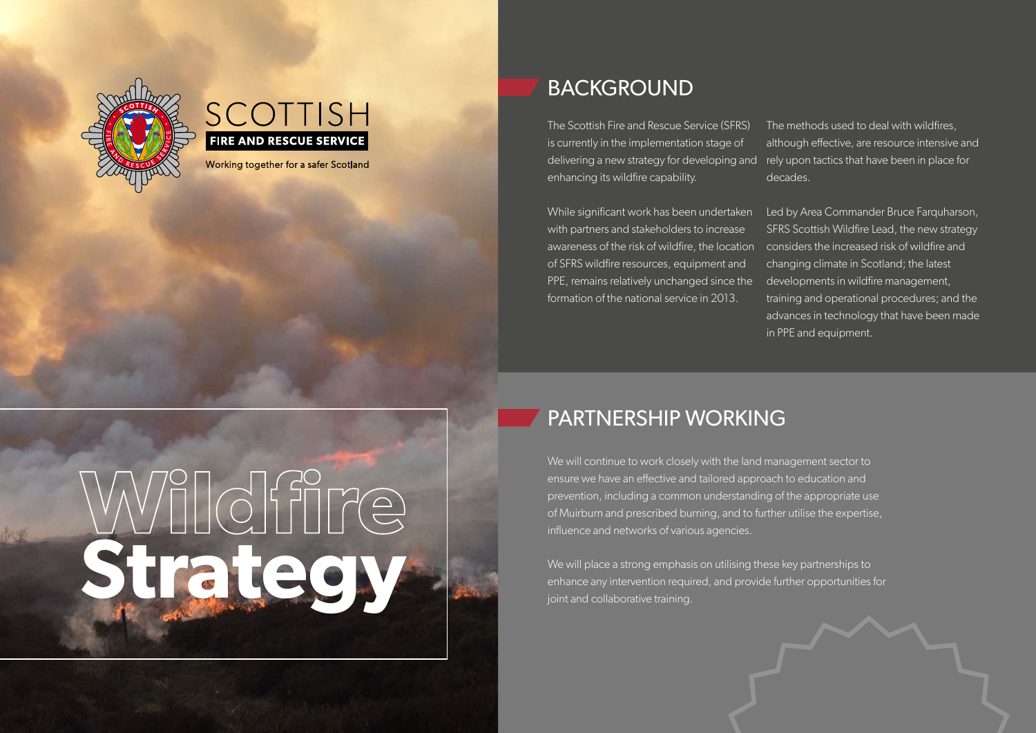



Working together for a safer Scotland

#### BACKGROUND

The Scottish Fire and Rescue Service (SFRS) is currently in the implementation stage of delivering a new strategy for developing and  $\;$  rely upon tactics that have been in place for enhancing its wildfire capability.

While significant work has been undertaken with partners and stakeholders to increase awareness of the risk of wildfire, the location considers the increased risk of wildfire and of SFRS wildfire resources, equipment and PPE, remains relatively unchanged since the formation of the national service in 2013.

The methods used to deal with wildfires, although effective, are resource intensive and decades.

Led by Area Commander Bruce Farquharson, SFRS Scottish Wildfire Lead, the new strategy changing climate in Scotland; the latest developments in wildfire management, training and operational procedures; and the advances in technology that have been made in PPE and equipment.

# **Wildfire Strategy**

#### PARTNERSHIP WORKING

We will continue to work closely with the land management sector to ensure we have an effective and tailored approach to education and prevention, including a common understanding of the appropriate use of Muirburn and prescribed burning, and to further utilise the expertise, influence and networks of various agencies.

We will place a strong emphasis on utilising these key partnerships to enhance any intervention required, and provide further opportunities for joint and collaborative training.